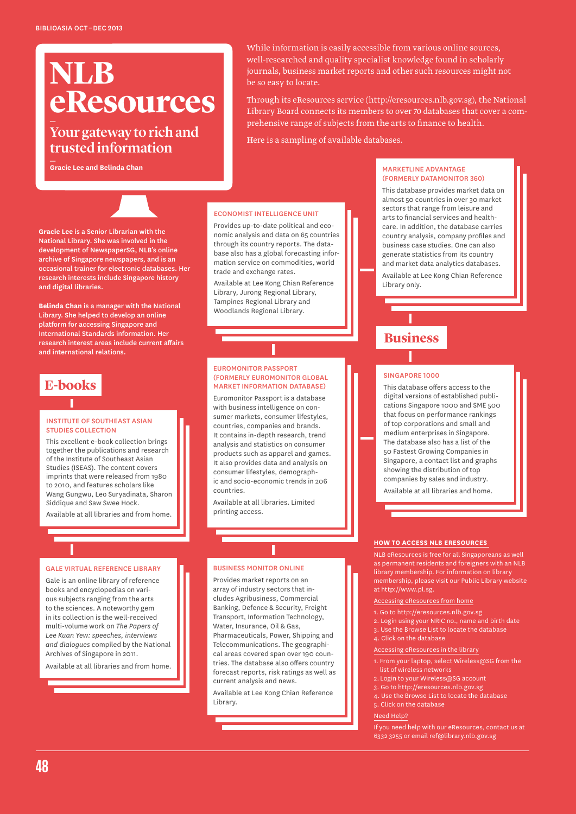# **NLB eResources** \_

# Your gateway to rich and trusted information \_

**Gracie Lee and Belinda Chan**

**Gracie Lee** is a Senior Librarian with the National Library. She was involved in the development of NewspaperSG, NLB's online archive of Singapore newspapers, and is an occasional trainer for electronic databases. Her research interests include Singapore history and digital libraries.

**Belinda Chan** is a manager with the National Library. She helped to develop an online platform for accessing Singapore and International Standards information. Her research interest areas include current affairs and international relations.

# **E-books**

#### Institute of Southeast Asian Studies Collection

This excellent e-book collection brings together the publications and research of the Institute of Southeast Asian Studies (ISEAS). The content covers imprints that were released from 1980 to 2010, and features scholars like Wang Gungwu, Leo Suryadinata, Sharon Siddique and Saw Swee Hock.

Available at all libraries and from home.

#### Gale Virtual Reference Library

Gale is an online library of reference books and encyclopedias on various subjects ranging from the arts to the sciences. A noteworthy gem in its collection is the well-received multi-volume work on *The Papers of Lee Kuan Yew: speeches, interviews and dialogues* compiled by the National Archives of Singapore in 2011.

Available at all libraries and from home.

While information is easily accessible from various online sources, well-researched and quality specialist knowledge found in scholarly journals, business market reports and other such resources might not be so easy to locate.

Through its eResources service (http://eresources.nlb.gov.sg), the National Library Board connects its members to over 70 databases that cover a comprehensive range of subjects from the arts to finance to health.

Here is a sampling of available databases.

#### Economist Intelligence Unit

Provides up-to-date political and economic analysis and data on 65 countries through its country reports. The database also has a global forecasting information service on commodities, world trade and exchange rates.

Available at Lee Kong Chian Reference Library, Jurong Regional Library, Tampines Regional Library and Woodlands Regional Library.

#### Euromonitor Passport (formerly Euromonitor Global Market Information Database)

Euromonitor Passport is a database with business intelligence on consumer markets, consumer lifestyles, countries, companies and brands. It contains in-depth research, trend analysis and statistics on consumer products such as apparel and games. It also provides data and analysis on consumer lifestyles, demographic and socio-economic trends in 206 countries.

Available at all libraries. Limited printing access.

#### Business Monitor Online

Provides market reports on an array of industry sectors that includes Agribusiness, Commercial Banking, Defence & Security, Freight Transport, Information Technology, Water, Insurance, Oil & Gas, Pharmaceuticals, Power, Shipping and Telecommunications. The geographical areas covered span over 190 countries. The database also offers country forecast reports, risk ratings as well as current analysis and news.

Available at Lee Kong Chian Reference Library.

#### MarketLine Advantage (formerly Datamonitor 360)

This database provides market data on almost 50 countries in over 30 market sectors that range from leisure and arts to financial services and healthcare. In addition, the database carries country analysis, company profiles and business case studies. One can also generate statistics from its country and market data analytics databases.

Available at Lee Kong Chian Reference Library only.

# **Business**

#### Singapore 1000

This database offers access to the digital versions of established publications Singapore 1000 and SME 500 that focus on performance rankings of top corporations and small and medium enterprises in Singapore. The database also has a list of the 50 Fastest Growing Companies in Singapore, a contact list and graphs showing the distribution of top companies by sales and industry.

Available at all libraries and home.

#### **How to Access NLB eResources**

NLB eResources is free for all Singaporeans as well as permanent residents and foreigners with an NLB library membership. For information on library membership, please visit our Public Library website at http://www.pl.sg.

Accessing eResources from home

- 1. Go to http://eresources.nlb.gov.sg
- 2. Login using your NRIC no., name and birth date
- 3. Use the Browse List to locate the database
- 4. Click on the database

Accessing eResources in the library

- 1. From your laptop, select Wireless@SG from the list of wireless networks
- 2. Login to your Wireless@SG account
- 3. Go to http://eresources.nlb.gov.sg
- 4. Use the Browse List to locate the database
- 5. Click on the database

Need Help?

If you need help with our eResources, contact us at 6332 3255 or email ref@library.nlb.gov.sg